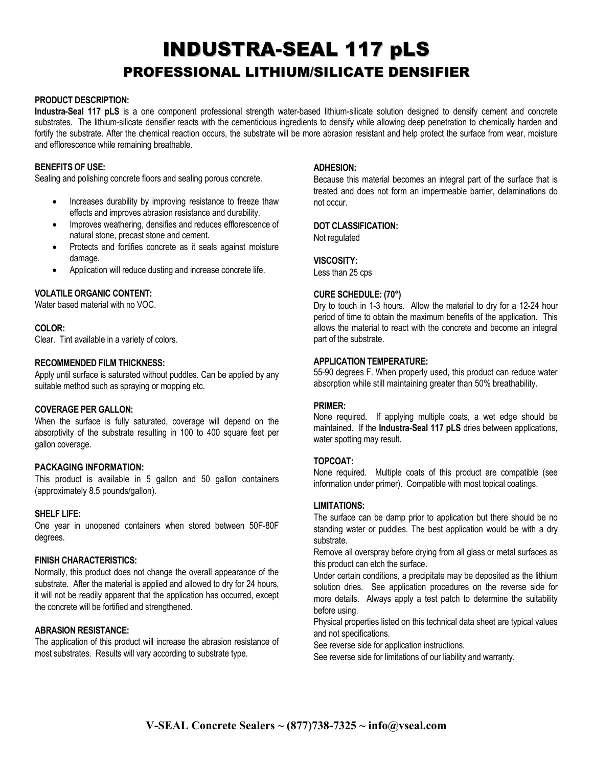# INDUSTRA-SEAL 117 pLS PROFESSIONAL LITHIUM/SILICATE DENSIFIER

## **PRODUCT DESCRIPTION:**

**Industra-Seal 117 pLS** is a one component professional strength water-based lithium-silicate solution designed to densify cement and concrete substrates. The lithium-silicate densifier reacts with the cementicious ingredients to densify while allowing deep penetration to chemically harden and fortify the substrate. After the chemical reaction occurs, the substrate will be more abrasion resistant and help protect the surface from wear, moisture and efflorescence while remaining breathable.

# **BENEFITS OF USE:**

Sealing and polishing concrete floors and sealing porous concrete.

- Increases durability by improving resistance to freeze thaw effects and improves abrasion resistance and durability.
- Improves weathering, densifies and reduces efflorescence of natural stone, precast stone and cement.
- Protects and fortifies concrete as it seals against moisture damage.
- Application will reduce dusting and increase concrete life.

# **VOLATILE ORGANIC CONTENT:**

Water based material with no VOC.

## **COLOR:**

Clear. Tint available in a variety of colors.

## **RECOMMENDED FILM THICKNESS:**

Apply until surface is saturated without puddles. Can be applied by any suitable method such as spraying or mopping etc.

#### **COVERAGE PER GALLON:**

When the surface is fully saturated, coverage will depend on the absorptivity of the substrate resulting in 100 to 400 square feet per gallon coverage.

# **PACKAGING INFORMATION:**

This product is available in 5 gallon and 50 gallon containers (approximately 8.5 pounds/gallon).

# **SHELF LIFE:**

One year in unopened containers when stored between 50F-80F degrees.

# **FINISH CHARACTERISTICS:**

Normally, this product does not change the overall appearance of the substrate. After the material is applied and allowed to dry for 24 hours, it will not be readily apparent that the application has occurred, except the concrete will be fortified and strengthened.

# **ABRASION RESISTANCE:**

The application of this product will increase the abrasion resistance of most substrates. Results will vary according to substrate type.

## **ADHESION:**

Because this material becomes an integral part of the surface that is treated and does not form an impermeable barrier, delaminations do not occur.

# **DOT CLASSIFICATION:**

Not regulated

# **VISCOSITY:**

Less than 25 cps

## **CURE SCHEDULE: (70°)**

Dry to touch in 1-3 hours. Allow the material to dry for a 12-24 hour period of time to obtain the maximum benefits of the application. This allows the material to react with the concrete and become an integral part of the substrate.

## **APPLICATION TEMPERATURE:**

55-90 degrees F. When properly used, this product can reduce water absorption while still maintaining greater than 50% breathability.

#### **PRIMER:**

None required. If applying multiple coats, a wet edge should be maintained. If the **Industra-Seal 117 pLS** dries between applications, water spotting may result.

# **TOPCOAT:**

None required. Multiple coats of this product are compatible (see information under primer). Compatible with most topical coatings.

#### **LIMITATIONS:**

The surface can be damp prior to application but there should be no standing water or puddles. The best application would be with a dry substrate.

Remove all overspray before drying from all glass or metal surfaces as this product can etch the surface.

Under certain conditions, a precipitate may be deposited as the lithium solution dries. See application procedures on the reverse side for more details. Always apply a test patch to determine the suitability before using.

Physical properties listed on this technical data sheet are typical values and not specifications.

See reverse side for application instructions.

See reverse side for limitations of our liability and warranty.